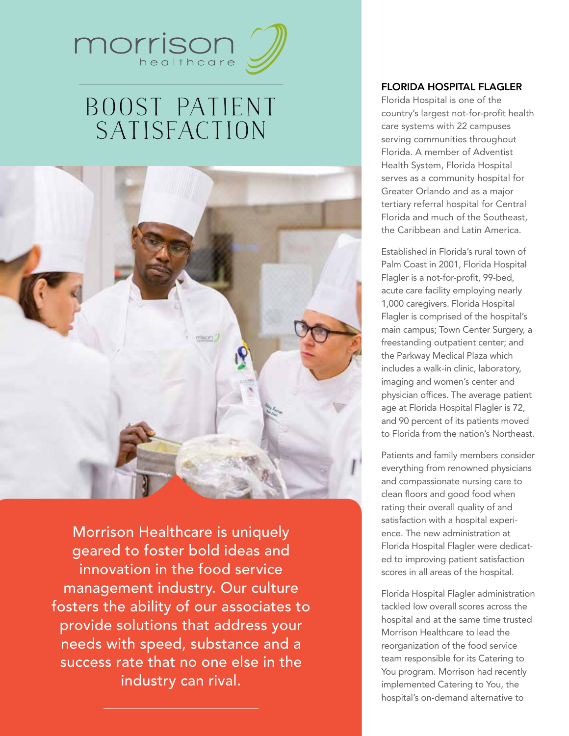

# Boost Patient **SATISFACTION**



Morrison Healthcare is uniquely geared to foster bold ideas and innovation in the food service management industry. Our culture fosters the ability of our associates to provide solutions that address your needs with speed, substance and a success rate that no one else in the industry can rival.

## Florida Hospital Flagler

Florida Hospital is one of the country's largest not-for-profit health care systems with 22 campuses serving communities throughout Florida. A member of Adventist Health System, Florida Hospital serves as a community hospital for Greater Orlando and as a major tertiary referral hospital for Central Florida and much of the Southeast, the Caribbean and Latin America.

Established in Florida's rural town of Palm Coast in 2001, Florida Hospital Flagler is a not-for-profit, 99-bed, acute care facility employing nearly 1,000 caregivers. Florida Hospital Flagler is comprised of the hospital's main campus; Town Center Surgery, a freestanding outpatient center; and the Parkway Medical Plaza which includes a walk-in clinic, laboratory, imaging and women's center and physician offices. The average patient age at Florida Hospital Flagler is 72, and 90 percent of its patients moved to Florida from the nation's Northeast.

Patients and family members consider everything from renowned physicians and compassionate nursing care to clean floors and good food when rating their overall quality of and satisfaction with a hospital experience. The new administration at Florida Hospital Flagler were dedicated to improving patient satisfaction scores in all areas of the hospital.

Florida Hospital Flagler administration tackled low overall scores across the hospital and at the same time trusted Morrison Healthcare to lead the reorganization of the food service team responsible for its Catering to You program. Morrison had recently implemented Catering to You, the hospital's on-demand alternative to